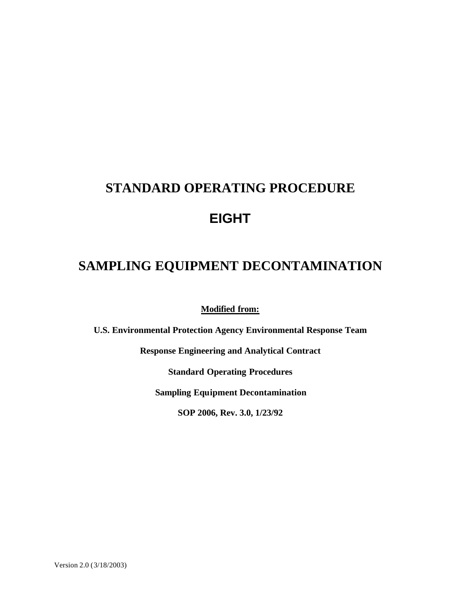# **STANDARD OPERATING PROCEDURE EIGHT**

# **SAMPLING EQUIPMENT DECONTAMINATION**

**Modified from:**

**U.S. Environmental Protection Agency Environmental Response Team**

**Response Engineering and Analytical Contract**

**Standard Operating Procedures**

**Sampling Equipment Decontamination**

**SOP 2006, Rev. 3.0, 1/23/92**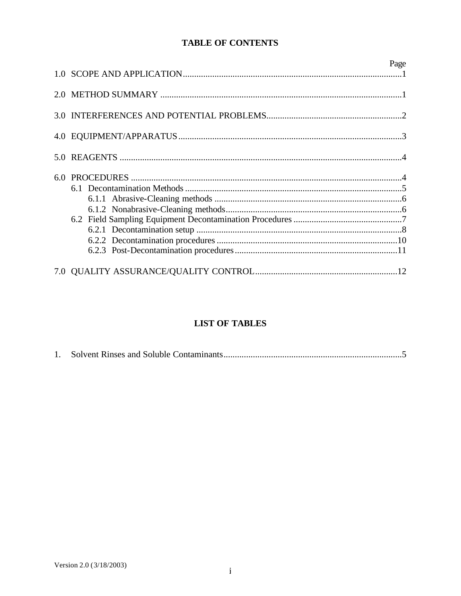# **TABLE OF CONTENTS**

|     | Page |
|-----|------|
|     |      |
|     |      |
| 4.0 |      |
| 5.0 |      |
| 6.0 |      |
|     |      |

# **LIST OF TABLES**

|--|--|--|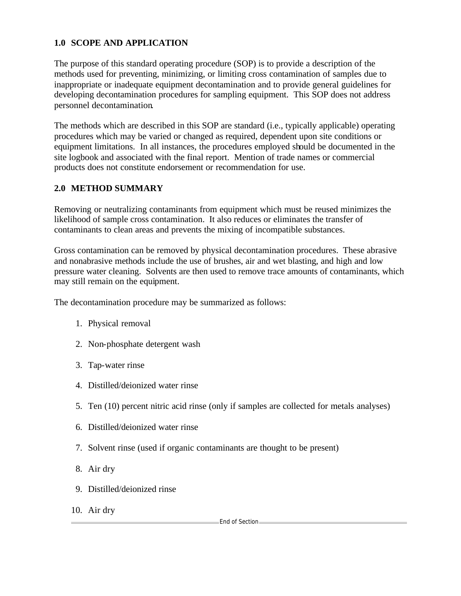# **1.0 SCOPE AND APPLICATION**

The purpose of this standard operating procedure (SOP) is to provide a description of the methods used for preventing, minimizing, or limiting cross contamination of samples due to inappropriate or inadequate equipment decontamination and to provide general guidelines for developing decontamination procedures for sampling equipment. This SOP does not address personnel decontamination.

The methods which are described in this SOP are standard (i.e., typically applicable) operating procedures which may be varied or changed as required, dependent upon site conditions or equipment limitations. In all instances, the procedures employed should be documented in the site logbook and associated with the final report. Mention of trade names or commercial products does not constitute endorsement or recommendation for use.

# **2.0 METHOD SUMMARY**

Removing or neutralizing contaminants from equipment which must be reused minimizes the likelihood of sample cross contamination. It also reduces or eliminates the transfer of contaminants to clean areas and prevents the mixing of incompatible substances.

Gross contamination can be removed by physical decontamination procedures. These abrasive and nonabrasive methods include the use of brushes, air and wet blasting, and high and low pressure water cleaning. Solvents are then used to remove trace amounts of contaminants, which may still remain on the equipment.

The decontamination procedure may be summarized as follows:

- 1. Physical removal
- 2. Non-phosphate detergent wash
- 3. Tap-water rinse
- 4. Distilled/deionized water rinse
- 5. Ten (10) percent nitric acid rinse (only if samples are collected for metals analyses)
- 6. Distilled/deionized water rinse
- 7. Solvent rinse (used if organic contaminants are thought to be present)
- 8. Air dry
- 9. Distilled/deionized rinse
- 10. Air dry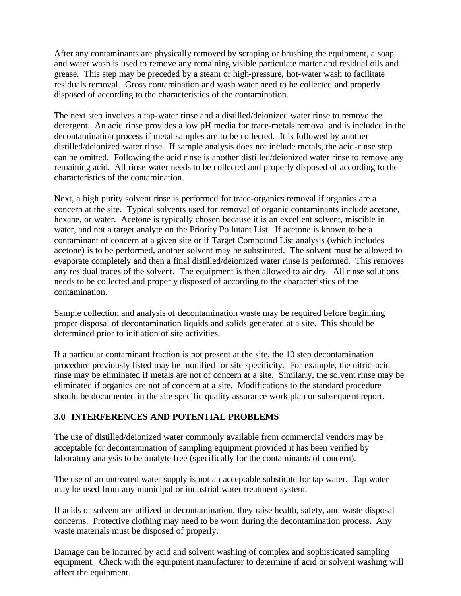After any contaminants are physically removed by scraping or brushing the equipment, a soap and water wash is used to remove any remaining visible particulate matter and residual oils and grease. This step may be preceded by a steam or high-pressure, hot-water wash to facilitate residuals removal. Gross contamination and wash water need to be collected and properly disposed of according to the characteristics of the contamination.

The next step involves a tap-water rinse and a distilled/deionized water rinse to remove the detergent. An acid rinse provides a low pH media for trace-metals removal and is included in the decontamination process if metal samples are to be collected. It is followed by another distilled/deionized water rinse. If sample analysis does not include metals, the acid-rinse step can be omitted. Following the acid rinse is another distilled/deionized water rinse to remove any remaining acid. All rinse water needs to be collected and properly disposed of according to the characteristics of the contamination.

Next, a high purity solvent rinse is performed for trace-organics removal if organics are a concern at the site. Typical solvents used for removal of organic contaminants include acetone, hexane, or water. Acetone is typically chosen because it is an excellent solvent, miscible in water, and not a target analyte on the Priority Pollutant List. If acetone is known to be a contaminant of concern at a given site or if Target Compound List analysis (which includes acetone) is to be performed, another solvent may be substituted. The solvent must be allowed to evaporate completely and then a final distilled/deionized water rinse is performed. This removes any residual traces of the solvent. The equipment is then allowed to air dry. All rinse solutions needs to be collected and properly disposed of according to the characteristics of the contamination.

Sample collection and analysis of decontamination waste may be required before beginning proper disposal of decontamination liquids and solids generated at a site. This should be determined prior to initiation of site activities.

If a particular contaminant fraction is not present at the site, the 10 step decontamination procedure previously listed may be modified for site specificity. For example, the nitric-acid rinse may be eliminated if metals are not of concern at a site. Similarly, the solvent rinse may be eliminated if organics are not of concern at a site. Modifications to the standard procedure should be documented in the site specific quality assurance work plan or subsequent report.

# **3.0 INTERFERENCES AND POTENTIAL PROBLEMS**

The use of distilled/deionized water commonly available from commercial vendors may be acceptable for decontamination of sampling equipment provided it has been verified by laboratory analysis to be analyte free (specifically for the contaminants of concern).

The use of an untreated water supply is not an acceptable substitute for tap water. Tap water may be used from any municipal or industrial water treatment system.

If acids or solvent are utilized in decontamination, they raise health, safety, and waste disposal concerns. Protective clothing may need to be worn during the decontamination process. Any waste materials must be disposed of properly.

Damage can be incurred by acid and solvent washing of complex and sophisticated sampling equipment. Check with the equipment manufacturer to determine if acid or solvent washing will affect the equipment.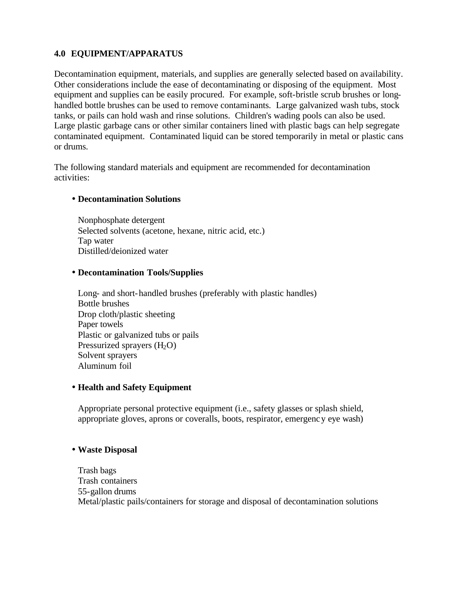# **4.0 EQUIPMENT/APPARATUS**

Decontamination equipment, materials, and supplies are generally selected based on availability. Other considerations include the ease of decontaminating or disposing of the equipment. Most equipment and supplies can be easily procured. For example, soft-bristle scrub brushes or longhandled bottle brushes can be used to remove contaminants. Large galvanized wash tubs, stock tanks, or pails can hold wash and rinse solutions. Children's wading pools can also be used. Large plastic garbage cans or other similar containers lined with plastic bags can help segregate contaminated equipment. Contaminated liquid can be stored temporarily in metal or plastic cans or drums.

The following standard materials and equipment are recommended for decontamination activities:

#### • **Decontamination Solutions**

Nonphosphate detergent Selected solvents (acetone, hexane, nitric acid, etc.) Tap water Distilled/deionized water

#### • **Decontamination Tools/Supplies**

Long- and short-handled brushes (preferably with plastic handles) Bottle brushes Drop cloth/plastic sheeting Paper towels Plastic or galvanized tubs or pails Pressurized sprayers  $(H_2O)$ Solvent sprayers Aluminum foil

# • **Health and Safety Equipment**

Appropriate personal protective equipment (i.e., safety glasses or splash shield, appropriate gloves, aprons or coveralls, boots, respirator, emergency eye wash)

# • **Waste Disposal**

Trash bags Trash containers 55-gallon drums Metal/plastic pails/containers for storage and disposal of decontamination solutions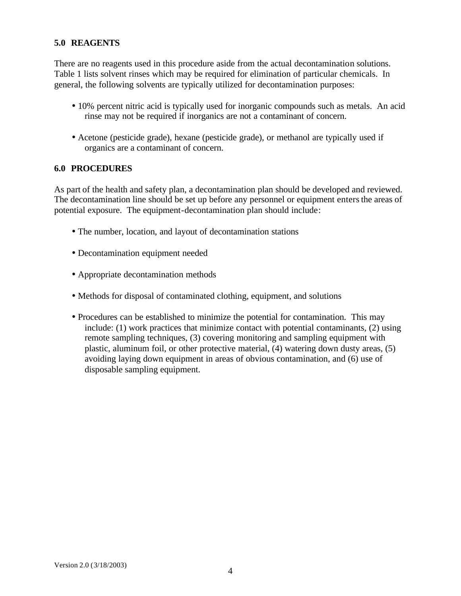#### **5.0 REAGENTS**

There are no reagents used in this procedure aside from the actual decontamination solutions. Table 1 lists solvent rinses which may be required for elimination of particular chemicals. In general, the following solvents are typically utilized for decontamination purposes:

- 10% percent nitric acid is typically used for inorganic compounds such as metals. An acid rinse may not be required if inorganics are not a contaminant of concern.
- Acetone (pesticide grade), hexane (pesticide grade), or methanol are typically used if organics are a contaminant of concern.

#### **6.0 PROCEDURES**

As part of the health and safety plan, a decontamination plan should be developed and reviewed. The decontamination line should be set up before any personnel or equipment enters the areas of potential exposure. The equipment-decontamination plan should include:

- The number, location, and layout of decontamination stations
- Decontamination equipment needed
- Appropriate decontamination methods
- Methods for disposal of contaminated clothing, equipment, and solutions
- Procedures can be established to minimize the potential for contamination. This may include: (1) work practices that minimize contact with potential contaminants, (2) using remote sampling techniques, (3) covering monitoring and sampling equipment with plastic, aluminum foil, or other protective material, (4) watering down dusty areas, (5) avoiding laying down equipment in areas of obvious contamination, and (6) use of disposable sampling equipment.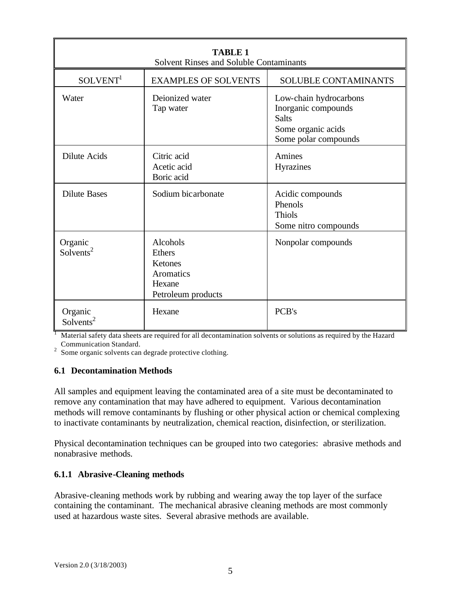| <b>TABLE 1</b><br><b>Solvent Rinses and Soluble Contaminants</b> |                                                                                   |                                                                                                             |  |  |  |
|------------------------------------------------------------------|-----------------------------------------------------------------------------------|-------------------------------------------------------------------------------------------------------------|--|--|--|
| SOLVENT <sup>1</sup>                                             | <b>EXAMPLES OF SOLVENTS</b>                                                       | SOLUBLE CONTAMINANTS                                                                                        |  |  |  |
| Water                                                            | Deionized water<br>Tap water                                                      | Low-chain hydrocarbons<br>Inorganic compounds<br><b>Salts</b><br>Some organic acids<br>Some polar compounds |  |  |  |
| <b>Dilute Acids</b>                                              | Citric acid<br>Acetic acid<br>Boric acid                                          | Amines<br>Hyrazines                                                                                         |  |  |  |
| <b>Dilute Bases</b>                                              | Sodium bicarbonate                                                                | Acidic compounds<br>Phenols<br><b>Thiols</b><br>Some nitro compounds                                        |  |  |  |
| Organic<br>Solvents <sup>2</sup>                                 | Alcohols<br><b>Ethers</b><br>Ketones<br>Aromatics<br>Hexane<br>Petroleum products | Nonpolar compounds                                                                                          |  |  |  |
| Organic<br>Solvents <sup>2</sup>                                 | Hexane                                                                            | PCB's                                                                                                       |  |  |  |

<sup>1</sup> Material safety data sheets are required for all decontamination solvents or solutions as required by the Hazard

Communication Standard. 2 Some organic solvents can degrade protective clothing.

# **6.1 Decontamination Methods**

All samples and equipment leaving the contaminated area of a site must be decontaminated to remove any contamination that may have adhered to equipment. Various decontamination methods will remove contaminants by flushing or other physical action or chemical complexing to inactivate contaminants by neutralization, chemical reaction, disinfection, or sterilization.

Physical decontamination techniques can be grouped into two categories: abrasive methods and nonabrasive methods.

#### **6.1.1 Abrasive-Cleaning methods**

Abrasive-cleaning methods work by rubbing and wearing away the top layer of the surface containing the contaminant. The mechanical abrasive cleaning methods are most commonly used at hazardous waste sites. Several abrasive methods are available.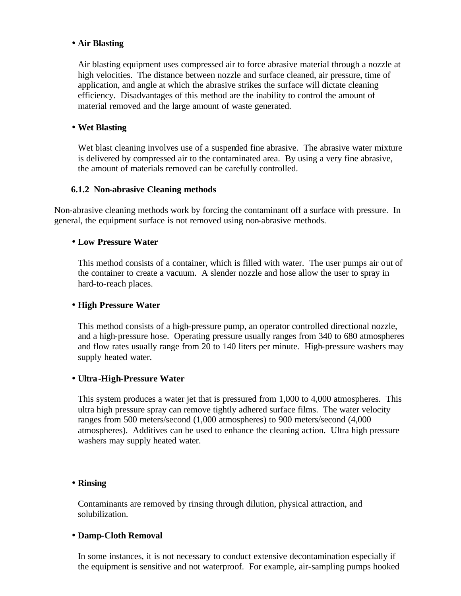#### • **Air Blasting**

Air blasting equipment uses compressed air to force abrasive material through a nozzle at high velocities. The distance between nozzle and surface cleaned, air pressure, time of application, and angle at which the abrasive strikes the surface will dictate cleaning efficiency. Disadvantages of this method are the inability to control the amount of material removed and the large amount of waste generated.

#### • **Wet Blasting**

Wet blast cleaning involves use of a suspended fine abrasive. The abrasive water mixture is delivered by compressed air to the contaminated area. By using a very fine abrasive, the amount of materials removed can be carefully controlled.

#### **6.1.2 Non-abrasive Cleaning methods**

Non-abrasive cleaning methods work by forcing the contaminant off a surface with pressure. In general, the equipment surface is not removed using non-abrasive methods.

#### • **Low Pressure Water**

This method consists of a container, which is filled with water. The user pumps air out of the container to create a vacuum. A slender nozzle and hose allow the user to spray in hard-to-reach places.

#### • **High Pressure Water**

This method consists of a high-pressure pump, an operator controlled directional nozzle, and a high-pressure hose. Operating pressure usually ranges from 340 to 680 atmospheres and flow rates usually range from 20 to 140 liters per minute. High-pressure washers may supply heated water.

#### • **Ultra-High-Pressure Water**

This system produces a water jet that is pressured from 1,000 to 4,000 atmospheres. This ultra high pressure spray can remove tightly adhered surface films. The water velocity ranges from 500 meters/second (1,000 atmospheres) to 900 meters/second (4,000 atmospheres). Additives can be used to enhance the cleaning action. Ultra high pressure washers may supply heated water.

#### • **Rinsing**

Contaminants are removed by rinsing through dilution, physical attraction, and solubilization.

#### • **Damp-Cloth Removal**

In some instances, it is not necessary to conduct extensive decontamination especially if the equipment is sensitive and not waterproof. For example, air-sampling pumps hooked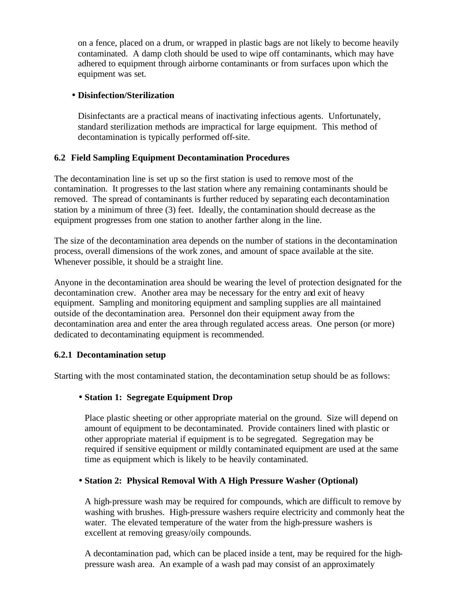on a fence, placed on a drum, or wrapped in plastic bags are not likely to become heavily contaminated. A damp cloth should be used to wipe off contaminants, which may have adhered to equipment through airborne contaminants or from surfaces upon which the equipment was set.

# • **Disinfection/Sterilization**

Disinfectants are a practical means of inactivating infectious agents. Unfortunately, standard sterilization methods are impractical for large equipment. This method of decontamination is typically performed off-site.

#### **6.2 Field Sampling Equipment Decontamination Procedures**

The decontamination line is set up so the first station is used to remove most of the contamination. It progresses to the last station where any remaining contaminants should be removed. The spread of contaminants is further reduced by separating each decontamination station by a minimum of three (3) feet. Ideally, the contamination should decrease as the equipment progresses from one station to another farther along in the line.

The size of the decontamination area depends on the number of stations in the decontamination process, overall dimensions of the work zones, and amount of space available at the site. Whenever possible, it should be a straight line.

Anyone in the decontamination area should be wearing the level of protection designated for the decontamination crew. Another area may be necessary for the entry and exit of heavy equipment. Sampling and monitoring equipment and sampling supplies are all maintained outside of the decontamination area. Personnel don their equipment away from the decontamination area and enter the area through regulated access areas. One person (or more) dedicated to decontaminating equipment is recommended.

# **6.2.1 Decontamination setup**

Starting with the most contaminated station, the decontamination setup should be as follows:

# • **Station 1: Segregate Equipment Drop**

Place plastic sheeting or other appropriate material on the ground. Size will depend on amount of equipment to be decontaminated. Provide containers lined with plastic or other appropriate material if equipment is to be segregated. Segregation may be required if sensitive equipment or mildly contaminated equipment are used at the same time as equipment which is likely to be heavily contaminated.

# • **Station 2: Physical Removal With A High Pressure Washer (Optional)**

A high-pressure wash may be required for compounds, which are difficult to remove by washing with brushes. High-pressure washers require electricity and commonly heat the water. The elevated temperature of the water from the high-pressure washers is excellent at removing greasy/oily compounds.

A decontamination pad, which can be placed inside a tent, may be required for the highpressure wash area. An example of a wash pad may consist of an approximately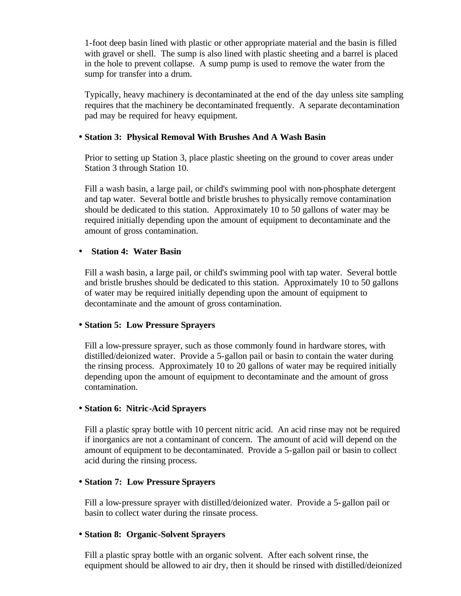1-foot deep basin lined with plastic or other appropriate material and the basin is filled with gravel or shell. The sump is also lined with plastic sheeting and a barrel is placed in the hole to prevent collapse. A sump pump is used to remove the water from the sump for transfer into a drum.

Typically, heavy machinery is decontaminated at the end of the day unless site sampling requires that the machinery be decontaminated frequently. A separate decontamination pad may be required for heavy equipment.

#### • **Station 3: Physical Removal With Brushes And A Wash Basin**

Prior to setting up Station 3, place plastic sheeting on the ground to cover areas under Station 3 through Station 10.

Fill a wash basin, a large pail, or child's swimming pool with non-phosphate detergent and tap water. Several bottle and bristle brushes to physically remove contamination should be dedicated to this station. Approximately 10 to 50 gallons of water may be required initially depending upon the amount of equipment to decontaminate and the amount of gross contamination.

#### • **Station 4: Water Basin**

Fill a wash basin, a large pail, or child's swimming pool with tap water. Several bottle and bristle brushes should be dedicated to this station. Approximately 10 to 50 gallons of water may be required initially depending upon the amount of equipment to decontaminate and the amount of gross contamination.

#### • **Station 5: Low Pressure Sprayers**

Fill a low-pressure sprayer, such as those commonly found in hardware stores, with distilled/deionized water. Provide a 5-gallon pail or basin to contain the water during the rinsing process. Approximately 10 to 20 gallons of water may be required initially depending upon the amount of equipment to decontaminate and the amount of gross contamination.

#### • **Station 6: Nitric-Acid Sprayers**

Fill a plastic spray bottle with 10 percent nitric acid. An acid rinse may not be required if inorganics are not a contaminant of concern. The amount of acid will depend on the amount of equipment to be decontaminated. Provide a 5-gallon pail or basin to collect acid during the rinsing process.

#### • **Station 7: Low Pressure Sprayers**

Fill a low-pressure sprayer with distilled/deionized water. Provide a 5-gallon pail or basin to collect water during the rinsate process.

#### • **Station 8: Organic-Solvent Sprayers**

Fill a plastic spray bottle with an organic solvent. After each solvent rinse, the equipment should be allowed to air dry, then it should be rinsed with distilled/deionized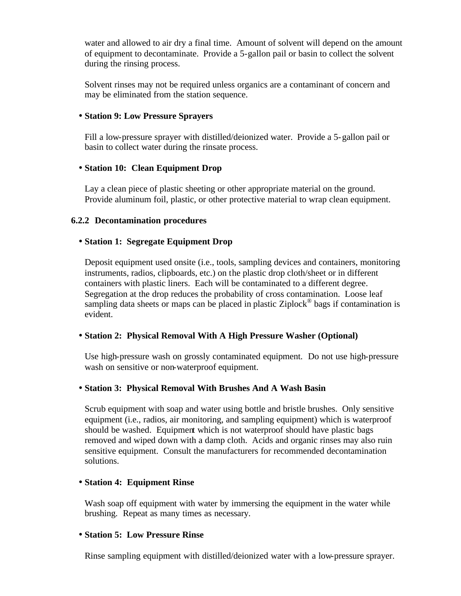water and allowed to air dry a final time. Amount of solvent will depend on the amount of equipment to decontaminate. Provide a 5-gallon pail or basin to collect the solvent during the rinsing process.

Solvent rinses may not be required unless organics are a contaminant of concern and may be eliminated from the station sequence.

#### • **Station 9: Low Pressure Sprayers**

Fill a low-pressure sprayer with distilled/deionized water. Provide a 5-gallon pail or basin to collect water during the rinsate process.

# • **Station 10: Clean Equipment Drop**

Lay a clean piece of plastic sheeting or other appropriate material on the ground. Provide aluminum foil, plastic, or other protective material to wrap clean equipment.

#### **6.2.2 Decontamination procedures**

# • **Station 1: Segregate Equipment Drop**

Deposit equipment used onsite (i.e., tools, sampling devices and containers, monitoring instruments, radios, clipboards, etc.) on the plastic drop cloth/sheet or in different containers with plastic liners. Each will be contaminated to a different degree. Segregation at the drop reduces the probability of cross contamination. Loose leaf sampling data sheets or maps can be placed in plastic Ziplock<sup>®</sup> bags if contamination is evident.

# • **Station 2: Physical Removal With A High Pressure Washer (Optional)**

Use high-pressure wash on grossly contaminated equipment. Do not use high-pressure wash on sensitive or non-waterproof equipment.

# • **Station 3: Physical Removal With Brushes And A Wash Basin**

Scrub equipment with soap and water using bottle and bristle brushes. Only sensitive equipment (i.e., radios, air monitoring, and sampling equipment) which is waterproof should be washed. Equipment which is not waterproof should have plastic bags removed and wiped down with a damp cloth. Acids and organic rinses may also ruin sensitive equipment. Consult the manufacturers for recommended decontamination solutions.

# • **Station 4: Equipment Rinse**

Wash soap off equipment with water by immersing the equipment in the water while brushing. Repeat as many times as necessary.

#### • **Station 5: Low Pressure Rinse**

Rinse sampling equipment with distilled/deionized water with a low-pressure sprayer.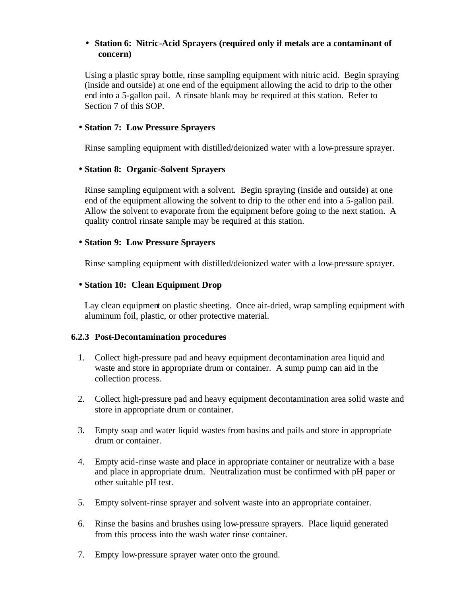#### • **Station 6: Nitric-Acid Sprayers (required only if metals are a contaminant of concern)**

Using a plastic spray bottle, rinse sampling equipment with nitric acid. Begin spraying (inside and outside) at one end of the equipment allowing the acid to drip to the other end into a 5-gallon pail. A rinsate blank may be required at this station. Refer to Section 7 of this SOP.

#### • **Station 7: Low Pressure Sprayers**

Rinse sampling equipment with distilled/deionized water with a low-pressure sprayer.

#### • **Station 8: Organic-Solvent Sprayers**

Rinse sampling equipment with a solvent. Begin spraying (inside and outside) at one end of the equipment allowing the solvent to drip to the other end into a 5-gallon pail. Allow the solvent to evaporate from the equipment before going to the next station. A quality control rinsate sample may be required at this station.

#### • **Station 9: Low Pressure Sprayers**

Rinse sampling equipment with distilled/deionized water with a low-pressure sprayer.

#### • **Station 10: Clean Equipment Drop**

Lay clean equipment on plastic sheeting. Once air-dried, wrap sampling equipment with aluminum foil, plastic, or other protective material.

#### **6.2.3 Post-Decontamination procedures**

- 1. Collect high-pressure pad and heavy equipment decontamination area liquid and waste and store in appropriate drum or container. A sump pump can aid in the collection process.
- 2. Collect high-pressure pad and heavy equipment decontamination area solid waste and store in appropriate drum or container.
- 3. Empty soap and water liquid wastes from basins and pails and store in appropriate drum or container.
- 4. Empty acid-rinse waste and place in appropriate container or neutralize with a base and place in appropriate drum. Neutralization must be confirmed with pH paper or other suitable pH test.
- 5. Empty solvent-rinse sprayer and solvent waste into an appropriate container.
- 6. Rinse the basins and brushes using low-pressure sprayers. Place liquid generated from this process into the wash water rinse container.
- 7. Empty low-pressure sprayer water onto the ground.